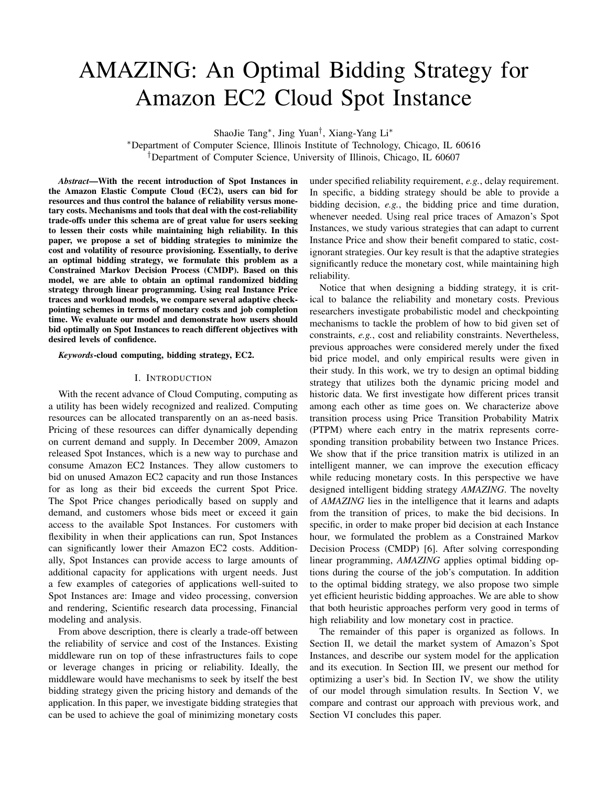# AMAZING: An Optimal Bidding Strategy for Amazon EC2 Cloud Spot Instance

ShaoJie Tang<sup>∗</sup> , Jing Yuan† , Xiang-Yang Li<sup>∗</sup>

<sup>∗</sup>Department of Computer Science, Illinois Institute of Technology, Chicago, IL 60616 †Department of Computer Science, University of Illinois, Chicago, IL 60607

*Abstract*—With the recent introduction of Spot Instances in the Amazon Elastic Compute Cloud (EC2), users can bid for resources and thus control the balance of reliability versus monetary costs. Mechanisms and tools that deal with the cost-reliability trade-offs under this schema are of great value for users seeking to lessen their costs while maintaining high reliability. In this paper, we propose a set of bidding strategies to minimize the cost and volatility of resource provisioning. Essentially, to derive an optimal bidding strategy, we formulate this problem as a Constrained Markov Decision Process (CMDP). Based on this model, we are able to obtain an optimal randomized bidding strategy through linear programming. Using real Instance Price traces and workload models, we compare several adaptive checkpointing schemes in terms of monetary costs and job completion time. We evaluate our model and demonstrate how users should bid optimally on Spot Instances to reach different objectives with desired levels of confidence.

*Keywords*-cloud computing, bidding strategy, EC2.

## I. INTRODUCTION

With the recent advance of Cloud Computing, computing as a utility has been widely recognized and realized. Computing resources can be allocated transparently on an as-need basis. Pricing of these resources can differ dynamically depending on current demand and supply. In December 2009, Amazon released Spot Instances, which is a new way to purchase and consume Amazon EC2 Instances. They allow customers to bid on unused Amazon EC2 capacity and run those Instances for as long as their bid exceeds the current Spot Price. The Spot Price changes periodically based on supply and demand, and customers whose bids meet or exceed it gain access to the available Spot Instances. For customers with flexibility in when their applications can run, Spot Instances can significantly lower their Amazon EC2 costs. Additionally, Spot Instances can provide access to large amounts of additional capacity for applications with urgent needs. Just a few examples of categories of applications well-suited to Spot Instances are: Image and video processing, conversion and rendering, Scientific research data processing, Financial modeling and analysis.

From above description, there is clearly a trade-off between the reliability of service and cost of the Instances. Existing middleware run on top of these infrastructures fails to cope or leverage changes in pricing or reliability. Ideally, the middleware would have mechanisms to seek by itself the best bidding strategy given the pricing history and demands of the application. In this paper, we investigate bidding strategies that can be used to achieve the goal of minimizing monetary costs

under specified reliability requirement, *e.g.*, delay requirement. In specific, a bidding strategy should be able to provide a bidding decision, *e.g.*, the bidding price and time duration, whenever needed. Using real price traces of Amazon's Spot Instances, we study various strategies that can adapt to current Instance Price and show their benefit compared to static, costignorant strategies. Our key result is that the adaptive strategies significantly reduce the monetary cost, while maintaining high reliability.

Notice that when designing a bidding strategy, it is critical to balance the reliability and monetary costs. Previous researchers investigate probabilistic model and checkpointing mechanisms to tackle the problem of how to bid given set of constraints, *e.g.*, cost and reliability constraints. Nevertheless, previous approaches were considered merely under the fixed bid price model, and only empirical results were given in their study. In this work, we try to design an optimal bidding strategy that utilizes both the dynamic pricing model and historic data. We first investigate how different prices transit among each other as time goes on. We characterize above transition process using Price Transition Probability Matrix (PTPM) where each entry in the matrix represents corresponding transition probability between two Instance Prices. We show that if the price transition matrix is utilized in an intelligent manner, we can improve the execution efficacy while reducing monetary costs. In this perspective we have designed intelligent bidding strategy *AMAZING*. The novelty of *AMAZING* lies in the intelligence that it learns and adapts from the transition of prices, to make the bid decisions. In specific, in order to make proper bid decision at each Instance hour, we formulated the problem as a Constrained Markov Decision Process (CMDP) [6]. After solving corresponding linear programming, *AMAZING* applies optimal bidding options during the course of the job's computation. In addition to the optimal bidding strategy, we also propose two simple yet efficient heuristic bidding approaches. We are able to show that both heuristic approaches perform very good in terms of high reliability and low monetary cost in practice.

The remainder of this paper is organized as follows. In Section II, we detail the market system of Amazon's Spot Instances, and describe our system model for the application and its execution. In Section III, we present our method for optimizing a user's bid. In Section IV, we show the utility of our model through simulation results. In Section V, we compare and contrast our approach with previous work, and Section VI concludes this paper.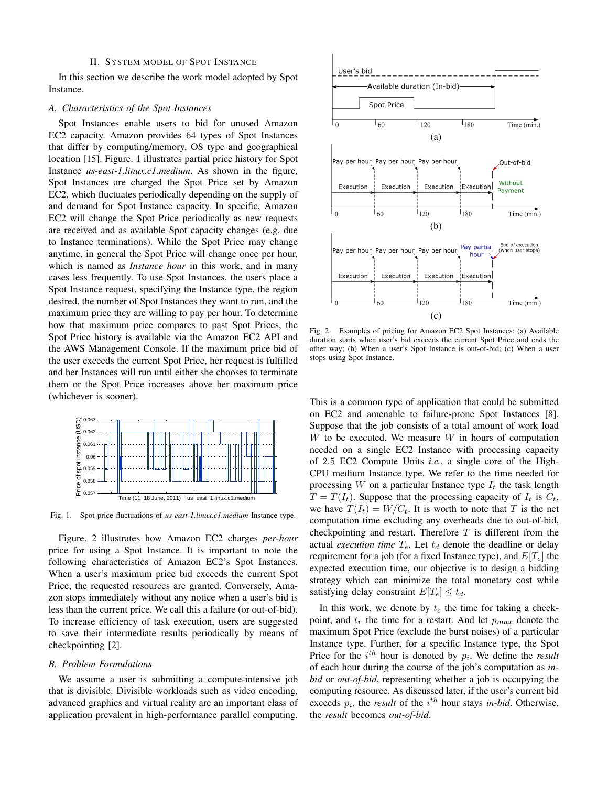#### II. SYSTEM MODEL OF SPOT INSTANCE

In this section we describe the work model adopted by Spot Instance.

#### *A. Characteristics of the Spot Instances*

Spot Instances enable users to bid for unused Amazon EC2 capacity. Amazon provides 64 types of Spot Instances that differ by computing/memory, OS type and geographical location [15]. Figure. 1 illustrates partial price history for Spot Instance *us-east-1.linux.c1.medium*. As shown in the figure, Spot Instances are charged the Spot Price set by Amazon EC2, which fluctuates periodically depending on the supply of and demand for Spot Instance capacity. In specific, Amazon EC2 will change the Spot Price periodically as new requests are received and as available Spot capacity changes (e.g. due to Instance terminations). While the Spot Price may change anytime, in general the Spot Price will change once per hour, which is named as *Instance hour* in this work, and in many cases less frequently. To use Spot Instances, the users place a Spot Instance request, specifying the Instance type, the region desired, the number of Spot Instances they want to run, and the maximum price they are willing to pay per hour. To determine how that maximum price compares to past Spot Prices, the Spot Price history is available via the Amazon EC2 API and the AWS Management Console. If the maximum price bid of the user exceeds the current Spot Price, her request is fulfilled and her Instances will run until either she chooses to terminate them or the Spot Price increases above her maximum price (whichever is sooner).



Fig. 1. Spot price fluctuations of *us-east-1.linux.c1.medium* Instance type.

Figure. 2 illustrates how Amazon EC2 charges *per-hour* price for using a Spot Instance. It is important to note the following characteristics of Amazon EC2's Spot Instances. When a user's maximum price bid exceeds the current Spot Price, the requested resources are granted. Conversely, Amazon stops immediately without any notice when a user's bid is less than the current price. We call this a failure (or out-of-bid). To increase efficiency of task execution, users are suggested to save their intermediate results periodically by means of checkpointing [2].

# *B. Problem Formulations*

We assume a user is submitting a compute-intensive job that is divisible. Divisible workloads such as video encoding, advanced graphics and virtual reality are an important class of application prevalent in high-performance parallel computing.



Fig. 2. Examples of pricing for Amazon EC2 Spot Instances: (a) Available duration starts when user's bid exceeds the current Spot Price and ends the other way; (b) When a user's Spot Instance is out-of-bid; (c) When a user stops using Spot Instance.

This is a common type of application that could be submitted on EC2 and amenable to failure-prone Spot Instances [8]. Suppose that the job consists of a total amount of work load  $W$  to be executed. We measure  $W$  in hours of computation needed on a single EC2 Instance with processing capacity of 2.5 EC2 Compute Units *i.e.*, a single core of the High-CPU medium Instance type. We refer to the time needed for processing W on a particular Instance type  $I_t$  the task length  $T = T(I_t)$ . Suppose that the processing capacity of  $I_t$  is  $C_t$ , we have  $T(I_t) = W/C_t$ . It is worth to note that T is the net computation time excluding any overheads due to out-of-bid, checkpointing and restart. Therefore  $T$  is different from the actual *execution time*  $T_e$ . Let  $t_d$  denote the deadline or delay requirement for a job (for a fixed Instance type), and  $E[T_e]$  the expected execution time, our objective is to design a bidding strategy which can minimize the total monetary cost while satisfying delay constraint  $E[T_e] \leq t_d$ .

In this work, we denote by  $t_c$  the time for taking a checkpoint, and  $t_r$  the time for a restart. And let  $p_{max}$  denote the maximum Spot Price (exclude the burst noises) of a particular Instance type. Further, for a specific Instance type, the Spot Price for the  $i^{th}$  hour is denoted by  $p_i$ . We define the *result* of each hour during the course of the job's computation as *inbid* or *out-of-bid*, representing whether a job is occupying the computing resource. As discussed later, if the user's current bid exceeds  $p_i$ , the *result* of the  $i^{th}$  hour stays *in-bid*. Otherwise, the *result* becomes *out-of-bid*.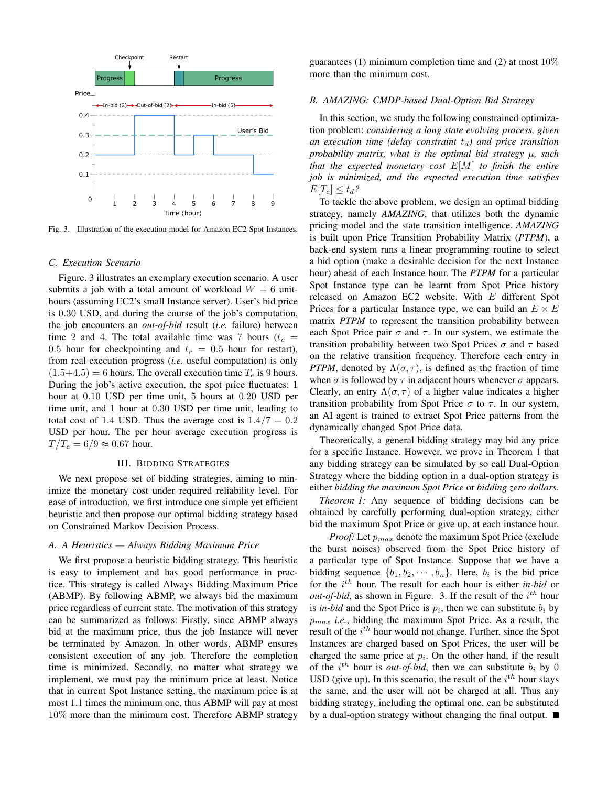

Fig. 3. Illustration of the execution model for Amazon EC2 Spot Instances.

## *C. Execution Scenario*

Figure. 3 illustrates an exemplary execution scenario. A user submits a job with a total amount of workload  $W = 6$  unithours (assuming EC2's small Instance server). User's bid price is 0.30 USD, and during the course of the job's computation, the job encounters an *out-of-bid* result (*i.e.* failure) between time 2 and 4. The total available time was 7 hours ( $t_c$  = 0.5 hour for checkpointing and  $t_r = 0.5$  hour for restart), from real execution progress (*i.e.* useful computation) is only  $(1.5+4.5) = 6$  hours. The overall execution time  $T_e$  is 9 hours. During the job's active execution, the spot price fluctuates: 1 hour at 0.10 USD per time unit, 5 hours at 0.20 USD per time unit, and 1 hour at 0.30 USD per time unit, leading to total cost of 1.4 USD. Thus the average cost is  $1.4/7 = 0.2$ USD per hour. The per hour average execution progress is  $T/T_e = 6/9 \approx 0.67$  hour.

## III. BIDDING STRATEGIES

We next propose set of bidding strategies, aiming to minimize the monetary cost under required reliability level. For ease of introduction, we first introduce one simple yet efficient heuristic and then propose our optimal bidding strategy based on Constrained Markov Decision Process.

# *A. A Heuristics — Always Bidding Maximum Price*

We first propose a heuristic bidding strategy. This heuristic is easy to implement and has good performance in practice. This strategy is called Always Bidding Maximum Price (ABMP). By following ABMP, we always bid the maximum price regardless of current state. The motivation of this strategy can be summarized as follows: Firstly, since ABMP always bid at the maximum price, thus the job Instance will never be terminated by Amazon. In other words, ABMP ensures consistent execution of any job. Therefore the completion time is minimized. Secondly, no matter what strategy we implement, we must pay the minimum price at least. Notice that in current Spot Instance setting, the maximum price is at most 1.1 times the minimum one, thus ABMP will pay at most 10% more than the minimum cost. Therefore ABMP strategy

guarantees (1) minimum completion time and (2) at most  $10\%$ more than the minimum cost.

## *B. AMAZING: CMDP-based Dual-Option Bid Strategy*

In this section, we study the following constrained optimization problem: *considering a long state evolving process, given an execution time (delay constraint*  $t_d$ *) and price transition probability matrix, what is the optimal bid strategy* µ*, such that the expected monetary cost* E[M] *to finish the entire job is minimized, and the expected execution time satisfies*  $E[T_e] \leq t_d$ ?

To tackle the above problem, we design an optimal bidding strategy, namely *AMAZING*, that utilizes both the dynamic pricing model and the state transition intelligence. *AMAZING* is built upon Price Transition Probability Matrix (*PTPM*), a back-end system runs a linear programming routine to select a bid option (make a desirable decision for the next Instance hour) ahead of each Instance hour. The *PTPM* for a particular Spot Instance type can be learnt from Spot Price history released on Amazon EC2 website. With E different Spot Prices for a particular Instance type, we can build an  $E \times E$ matrix *PTPM* to represent the transition probability between each Spot Price pair  $\sigma$  and  $\tau$ . In our system, we estimate the transition probability between two Spot Prices  $\sigma$  and  $\tau$  based on the relative transition frequency. Therefore each entry in *PTPM*, denoted by  $\Lambda(\sigma, \tau)$ , is defined as the fraction of time when  $\sigma$  is followed by  $\tau$  in adjacent hours whenever  $\sigma$  appears. Clearly, an entry  $\Lambda(\sigma, \tau)$  of a higher value indicates a higher transition probability from Spot Price  $\sigma$  to  $\tau$ . In our system, an AI agent is trained to extract Spot Price patterns from the dynamically changed Spot Price data.

Theoretically, a general bidding strategy may bid any price for a specific Instance. However, we prove in Theorem 1 that any bidding strategy can be simulated by so call Dual-Option Strategy where the bidding option in a dual-option strategy is either *bidding the maximum Spot Price* or *bidding zero dollars*.

*Theorem 1:* Any sequence of bidding decisions can be obtained by carefully performing dual-option strategy, either bid the maximum Spot Price or give up, at each instance hour.

*Proof:* Let  $p_{max}$  denote the maximum Spot Price (exclude the burst noises) observed from the Spot Price history of a particular type of Spot Instance. Suppose that we have a bidding sequence  $\{b_1, b_2, \dots, b_n\}$ . Here,  $b_i$  is the bid price for the *i*<sup>th</sup> hour. The result for each hour is either *in-bid* or *out-of-bid*, as shown in Figure. 3. If the result of the  $i^{th}$  hour is *in-bid* and the Spot Price is  $p_i$ , then we can substitute  $b_i$  by  $p_{max}$  *i.e.*, bidding the maximum Spot Price. As a result, the result of the  $i^{th}$  hour would not change. Further, since the Spot Instances are charged based on Spot Prices, the user will be charged the same price at  $p_i$ . On the other hand, if the result of the  $i^{th}$  hour is *out-of-bid*, then we can substitute  $b_i$  by 0 USD (give up). In this scenario, the result of the  $i^{th}$  hour stays the same, and the user will not be charged at all. Thus any bidding strategy, including the optimal one, can be substituted by a dual-option strategy without changing the final output.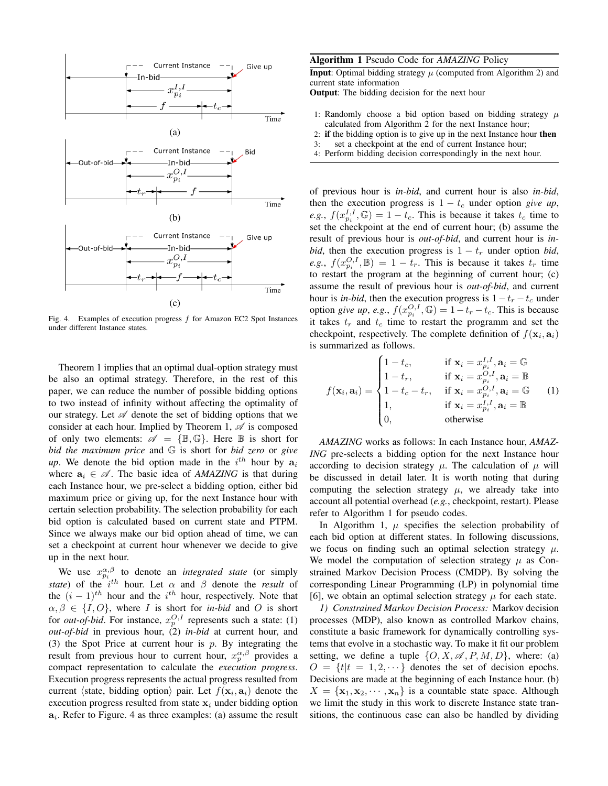

Fig. 4. Examples of execution progress  $f$  for Amazon EC2 Spot Instances under different Instance states.

Theorem 1 implies that an optimal dual-option strategy must be also an optimal strategy. Therefore, in the rest of this paper, we can reduce the number of possible bidding options to two instead of infinity without affecting the optimality of our strategy. Let  $\mathscr A$  denote the set of bidding options that we consider at each hour. Implied by Theorem 1,  $\mathscr A$  is composed of only two elements:  $\mathscr{A} = {\mathbb{B}, \mathbb{G}}$ . Here  $\mathbb B$  is short for *bid the maximum price* and G is short for *bid zero* or *give up*. We denote the bid option made in the  $i^{th}$  hour by  $a_i$ where  $a_i \in \mathcal{A}$ . The basic idea of *AMAZING* is that during each Instance hour, we pre-select a bidding option, either bid maximum price or giving up, for the next Instance hour with certain selection probability. The selection probability for each bid option is calculated based on current state and PTPM. Since we always make our bid option ahead of time, we can set a checkpoint at current hour whenever we decide to give up in the next hour.

We use  $x_{p_i}^{\alpha,\beta}$  to denote an *integrated state* (or simply *state*) of the  $i^{th}$  hour. Let  $\alpha$  and  $\beta$  denote the *result* of the  $(i - 1)^{th}$  hour and the  $i^{th}$  hour, respectively. Note that  $\alpha, \beta \in \{I, O\}$ , where I is short for *in-bid* and O is short for *out-of-bid*. For instance,  $x_p^{O,I}$  represents such a state: (1) *out-of-bid* in previous hour, (2) *in-bid* at current hour, and (3) the Spot Price at current hour is  $p$ . By integrating the result from previous hour to current hour,  $x_p^{\alpha,\beta}$  provides a compact representation to calculate the *execution progress*. Execution progress represents the actual progress resulted from current (state, bidding option) pair. Let  $f(\mathbf{x}_i, \mathbf{a}_i)$  denote the execution progress resulted from state  $x_i$  under bidding option  $a_i$ . Refer to Figure. 4 as three examples: (a) assume the result

## Algorithm 1 Pseudo Code for *AMAZING* Policy

**Input:** Optimal bidding strategy  $\mu$  (computed from Algorithm 2) and current state information

Output: The bidding decision for the next hour

- 1: Randomly choose a bid option based on bidding strategy  $\mu$ calculated from Algorithm 2 for the next Instance hour;
- 2: if the bidding option is to give up in the next Instance hour then
- 3: set a checkpoint at the end of current Instance hour;
- 4: Perform bidding decision correspondingly in the next hour.

of previous hour is *in-bid*, and current hour is also *in-bid*, then the execution progress is  $1 - t_c$  under option *give up*, *e.g.*,  $f(x_{pi}^{I,I}, \mathbb{G}) = 1 - t_c$ . This is because it takes  $t_c$  time to set the checkpoint at the end of current hour; (b) assume the result of previous hour is *out-of-bid*, and current hour is *inbid*, then the execution progress is  $1 - t_r$  under option *bid*, *e.g.*,  $f(x_{p_i}^{O,I}, \mathbb{B}) = 1 - t_r$ . This is because it takes  $t_r$  time to restart the program at the beginning of current hour; (c) assume the result of previous hour is *out-of-bid*, and current hour is *in-bid*, then the execution progress is  $1-t_r-t_c$  under option *give up*, *e.g.*,  $f(x_{p_i}^{O,I}, \mathbb{G}) = 1 - t_r - t_c$ . This is because it takes  $t_r$  and  $t_c$  time to restart the programm and set the checkpoint, respectively. The complete definition of  $f(\mathbf{x}_i, \mathbf{a}_i)$ is summarized as follows.

$$
f(\mathbf{x}_i, \mathbf{a}_i) = \begin{cases} 1 - t_c, & \text{if } \mathbf{x}_i = x_{p_i}^{I, I}, \mathbf{a}_i = \mathbb{G} \\ 1 - t_r, & \text{if } \mathbf{x}_i = x_{p_i}^{O, I}, \mathbf{a}_i = \mathbb{B} \\ 1 - t_c - t_r, & \text{if } \mathbf{x}_i = x_{p_i}^{O, I}, \mathbf{a}_i = \mathbb{G} \\ 1, & \text{if } \mathbf{x}_i = x_{p_i}^{I, I}, \mathbf{a}_i = \mathbb{B} \\ 0, & \text{otherwise} \end{cases} \tag{1}
$$

*AMAZING* works as follows: In each Instance hour, *AMAZ-ING* pre-selects a bidding option for the next Instance hour according to decision strategy  $\mu$ . The calculation of  $\mu$  will be discussed in detail later. It is worth noting that during computing the selection strategy  $\mu$ , we already take into account all potential overhead (*e.g.*, checkpoint, restart). Please refer to Algorithm 1 for pseudo codes.

In Algorithm 1,  $\mu$  specifies the selection probability of each bid option at different states. In following discussions, we focus on finding such an optimal selection strategy  $\mu$ . We model the computation of selection strategy  $\mu$  as Constrained Markov Decision Process (CMDP). By solving the corresponding Linear Programming (LP) in polynomial time [6], we obtain an optimal selection strategy  $\mu$  for each state.

*1) Constrained Markov Decision Process:* Markov decision processes (MDP), also known as controlled Markov chains, constitute a basic framework for dynamically controlling systems that evolve in a stochastic way. To make it fit our problem setting, we define a tuple  $\{O, X, \mathcal{A}, P, M, D\}$ , where: (a)  $O = \{t | t = 1, 2, \dots \}$  denotes the set of decision epochs. Decisions are made at the beginning of each Instance hour. (b)  $X = {\mathbf{x}_1, \mathbf{x}_2, \cdots, \mathbf{x}_n}$  is a countable state space. Although we limit the study in this work to discrete Instance state transitions, the continuous case can also be handled by dividing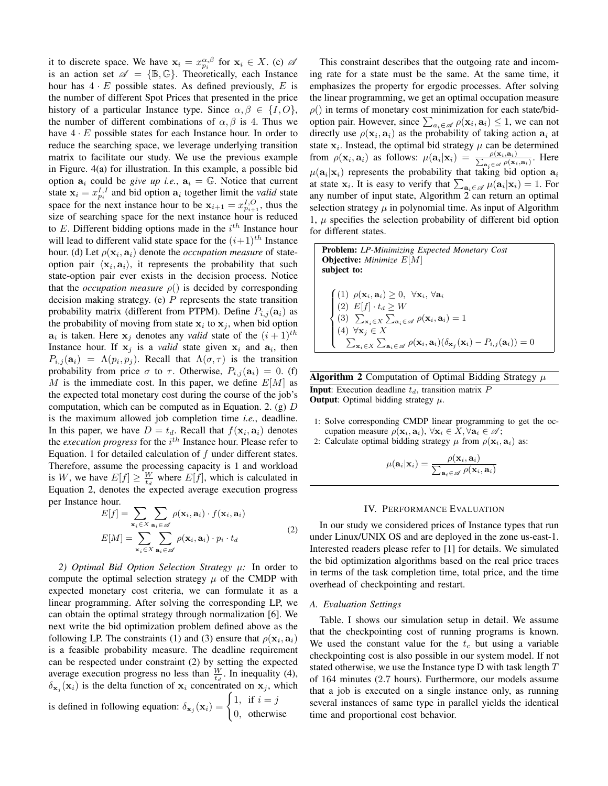it to discrete space. We have  $\mathbf{x}_i = x_{p_i}^{\alpha,\beta}$  for  $\mathbf{x}_i \in X$ . (c)  $\mathscr A$ is an action set  $\mathscr{A} = {\mathbb{B}, \mathbb{G}}$ . Theoretically, each Instance hour has  $4 \cdot E$  possible states. As defined previously, E is the number of different Spot Prices that presented in the price history of a particular Instance type. Since  $\alpha, \beta \in \{I, O\},$ the number of different combinations of  $\alpha$ ,  $\beta$  is 4. Thus we have  $4 \cdot E$  possible states for each Instance hour. In order to reduce the searching space, we leverage underlying transition matrix to facilitate our study. We use the previous example in Figure. 4(a) for illustration. In this example, a possible bid option  $a_i$  could be *give up i.e.*,  $a_i = \mathbb{G}$ . Notice that current state  $\mathbf{x}_i = x_{p_i}^{I,I}$  and bid option  $\mathbf{a}_i$  together limit the *valid* state space for the next instance hour to be  $\mathbf{x}_{i+1} = x_{p_{i+1}}^{I,O}$ , thus the size of searching space for the next instance hour is reduced to E. Different bidding options made in the  $i^{th}$  Instance hour will lead to different valid state space for the  $(i+1)$ <sup>th</sup> Instance hour. (d) Let  $\rho(\mathbf{x}_i, \mathbf{a}_i)$  denote the *occupation measure* of stateoption pair  $\langle \mathbf{x}_i, \mathbf{a}_i \rangle$ , it represents the probability that such state-option pair ever exists in the decision process. Notice that the *occupation measure*  $\rho()$  is decided by corresponding decision making strategy. (e)  $P$  represents the state transition probability matrix (different from PTPM). Define  $P_{i,j}(\mathbf{a}_i)$  as the probability of moving from state  $x_i$  to  $x_j$ , when bid option  $a_i$  is taken. Here  $x_j$  denotes any *valid* state of the  $(i + 1)^{th}$ Instance hour. If  $x_j$  is a *valid* state given  $x_i$  and  $a_i$ , then  $P_{i,j}(\mathbf{a}_i) = \Lambda(p_i, p_j)$ . Recall that  $\Lambda(\sigma, \tau)$  is the transition probability from price  $\sigma$  to  $\tau$ . Otherwise,  $P_{i,j}(\mathbf{a}_i) = 0$ . (f) M is the immediate cost. In this paper, we define  $E[M]$  as the expected total monetary cost during the course of the job's computation, which can be computed as in Equation. 2. (g)  $D$ is the maximum allowed job completion time *i.e.*, deadline. In this paper, we have  $D = t_d$ . Recall that  $f(\mathbf{x}_i, \mathbf{a}_i)$  denotes the *execution progress* for the  $i^{th}$  Instance hour. Please refer to Equation. 1 for detailed calculation of  $f$  under different states. Therefore, assume the processing capacity is 1 and workload is W, we have  $E[f] \geq \frac{W}{t_d}$  where  $E[f]$ , which is calculated in Equation 2, denotes the expected average execution progress per Instance hour.

$$
E[f] = \sum_{\mathbf{x}_i \in X} \sum_{\mathbf{a}_i \in \mathscr{A}} \rho(\mathbf{x}_i, \mathbf{a}_i) \cdot f(\mathbf{x}_i, \mathbf{a}_i)
$$
  
\n
$$
E[M] = \sum_{\mathbf{x}_i \in X} \sum_{\mathbf{a}_i \in \mathscr{A}} \rho(\mathbf{x}_i, \mathbf{a}_i) \cdot p_i \cdot t_d
$$
\n(2)

*2) Optimal Bid Option Selection Strategy* µ*:* In order to compute the optimal selection strategy  $\mu$  of the CMDP with expected monetary cost criteria, we can formulate it as a linear programming. After solving the corresponding LP, we can obtain the optimal strategy through normalization [6]. We next write the bid optimization problem defined above as the following LP. The constraints (1) and (3) ensure that  $\rho(\mathbf{x}_i, \mathbf{a}_i)$ is a feasible probability measure. The deadline requirement can be respected under constraint (2) by setting the expected average execution progress no less than  $\frac{W}{t_d}$ . In inequality (4),  $\delta_{\mathbf{x}_j}(\mathbf{x}_i)$  is the delta function of  $\mathbf{x}_i$  concentrated on  $\mathbf{x}_j$ , which is defined in following equation:  $\delta_{\mathbf{x}_j}(\mathbf{x}_i) = \begin{cases} 1, & \text{if } i = j \\ 0, & \text{otherwise} \end{cases}$ 0, otherwise

This constraint describes that the outgoing rate and incoming rate for a state must be the same. At the same time, it emphasizes the property for ergodic processes. After solving the linear programming, we get an optimal occupation measure  $\rho()$  in terms of monetary cost minimization for each state/bidoption pair. However, since  $\sum_{a_i \in \mathscr{A}} \rho(\mathbf{x}_i, \mathbf{a}_i) \leq 1$ , we can not directly use  $\rho(\mathbf{x}_i, \mathbf{a}_i)$  as the probability of taking action  $\mathbf{a}_i$  at state  $x_i$ . Instead, the optimal bid strategy  $\mu$  can be determined from  $\rho(\mathbf{x}_i, \mathbf{a}_i)$  as follows:  $\mu(\mathbf{a}_i | \mathbf{x}_i) = \frac{\rho(\mathbf{x}_i, \mathbf{a}_i)}{\sum_{\mathbf{a} \in \mathcal{A}} \rho(\mathbf{x}_i)}$  $\frac{\rho(\mathbf{x}_i, \mathbf{a}_i)}{\mathbf{a}_i \in \mathcal{A} \rho(\mathbf{x}_i, \mathbf{a}_i)}$ . Here  $\mu(\mathbf{a}_i|\mathbf{x}_i)$  represents the probability that taking bid option  $\mathbf{a}_i$ at state  $\mathbf{x}_i$ . It is easy to verify that  $\sum_{\mathbf{a}_i \in \mathcal{A}} \mu(\mathbf{a}_i | \mathbf{x}_i) = 1$ . For any number of input state, Algorithm 2 can return an optimal selection strategy  $\mu$  in polynomial time. As input of Algorithm 1,  $\mu$  specifies the selection probability of different bid option for different states.



Algorithm 2 Computation of Optimal Bidding Strategy  $\mu$ **Input**: Execution deadline  $t_d$ , transition matrix  $P$ **Output:** Optimal bidding strategy  $\mu$ .

- 1: Solve corresponding CMDP linear programming to get the occupation measure  $\rho(\mathbf{x}_i, \mathbf{a}_i), \forall \mathbf{x}_i \in X, \forall \mathbf{a}_i \in \mathcal{A}$ ;
- 2: Calculate optimal bidding strategy  $\mu$  from  $\rho(\mathbf{x}_i, \mathbf{a}_i)$  as:

$$
\mu(\mathbf{a}_i|\mathbf{x}_i) = \frac{\rho(\mathbf{x}_i, \mathbf{a}_i)}{\sum_{\mathbf{a}_i \in \mathscr{A}} \rho(\mathbf{x}_i, \mathbf{a}_i)}
$$

#### IV. PERFORMANCE EVALUATION

In our study we considered prices of Instance types that run under Linux/UNIX OS and are deployed in the zone us-east-1. Interested readers please refer to [1] for details. We simulated the bid optimization algorithms based on the real price traces in terms of the task completion time, total price, and the time overhead of checkpointing and restart.

#### *A. Evaluation Settings*

Table. I shows our simulation setup in detail. We assume that the checkpointing cost of running programs is known. We used the constant value for the  $t_c$  but using a variable checkpointing cost is also possible in our system model. If not stated otherwise, we use the Instance type D with task length  $T$ of 164 minutes (2.7 hours). Furthermore, our models assume that a job is executed on a single instance only, as running several instances of same type in parallel yields the identical time and proportional cost behavior.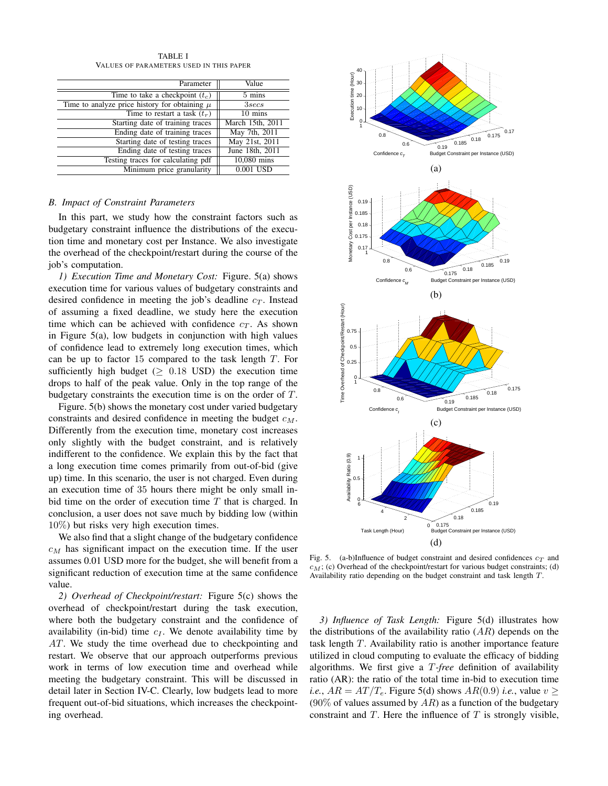TABLE I VALUES OF PARAMETERS USED IN THIS PAPER

| Parameter                                         | Value             |
|---------------------------------------------------|-------------------|
| Time to take a checkpoint $(t_c)$                 | $5 \text{ mins}$  |
| Time to analyze price history for obtaining $\mu$ | 3secs             |
| Time to restart a task $(t_r)$                    | $10 \text{ mins}$ |
| Starting date of training traces                  | March 15th, 2011  |
| Ending date of training traces                    | May 7th, 2011     |
| Starting date of testing traces                   | May 21st, 2011    |
| Ending date of testing traces                     | June 18th, 2011   |
| Testing traces for calculating pdf                | $10.080$ mins     |
| Minimum price granularity                         | $0.001$ USD       |

## *B. Impact of Constraint Parameters*

In this part, we study how the constraint factors such as budgetary constraint influence the distributions of the execution time and monetary cost per Instance. We also investigate the overhead of the checkpoint/restart during the course of the job's computation.

*1) Execution Time and Monetary Cost:* Figure. 5(a) shows execution time for various values of budgetary constraints and desired confidence in meeting the job's deadline  $c_T$ . Instead of assuming a fixed deadline, we study here the execution time which can be achieved with confidence  $c_T$ . As shown in Figure 5(a), low budgets in conjunction with high values of confidence lead to extremely long execution times, which can be up to factor  $15$  compared to the task length  $T$ . For sufficiently high budget ( $\geq$  0.18 USD) the execution time drops to half of the peak value. Only in the top range of the budgetary constraints the execution time is on the order of T.

Figure. 5(b) shows the monetary cost under varied budgetary constraints and desired confidence in meeting the budget  $c_M$ . Differently from the execution time, monetary cost increases only slightly with the budget constraint, and is relatively indifferent to the confidence. We explain this by the fact that a long execution time comes primarily from out-of-bid (give up) time. In this scenario, the user is not charged. Even during an execution time of 35 hours there might be only small inbid time on the order of execution time  $T$  that is charged. In conclusion, a user does not save much by bidding low (within 10%) but risks very high execution times.

We also find that a slight change of the budgetary confidence  $c_M$  has significant impact on the execution time. If the user assumes 0.01 USD more for the budget, she will benefit from a significant reduction of execution time at the same confidence value.

*2) Overhead of Checkpoint/restart:* Figure 5(c) shows the overhead of checkpoint/restart during the task execution, where both the budgetary constraint and the confidence of availability (in-bid) time  $c_I$ . We denote availability time by AT. We study the time overhead due to checkpointing and restart. We observe that our approach outperforms previous work in terms of low execution time and overhead while meeting the budgetary constraint. This will be discussed in detail later in Section IV-C. Clearly, low budgets lead to more frequent out-of-bid situations, which increases the checkpointing overhead.



Fig. 5. (a-b)Influence of budget constraint and desired confidences  $c_T$  and  $c_M$ ; (c) Overhead of the checkpoint/restart for various budget constraints; (d) Availability ratio depending on the budget constraint and task length T.

*3) Influence of Task Length:* Figure 5(d) illustrates how the distributions of the availability ratio  $(AR)$  depends on the task length T. Availability ratio is another importance feature utilized in cloud computing to evaluate the efficacy of bidding algorithms. We first give a T*-free* definition of availability ratio (AR): the ratio of the total time in-bid to execution time *i.e.*,  $AR = AT/T_e$ . Figure 5(d) shows  $AR(0.9)$  *i.e.*, value  $v >$ (90% of values assumed by  $AR$ ) as a function of the budgetary constraint and  $T$ . Here the influence of  $T$  is strongly visible,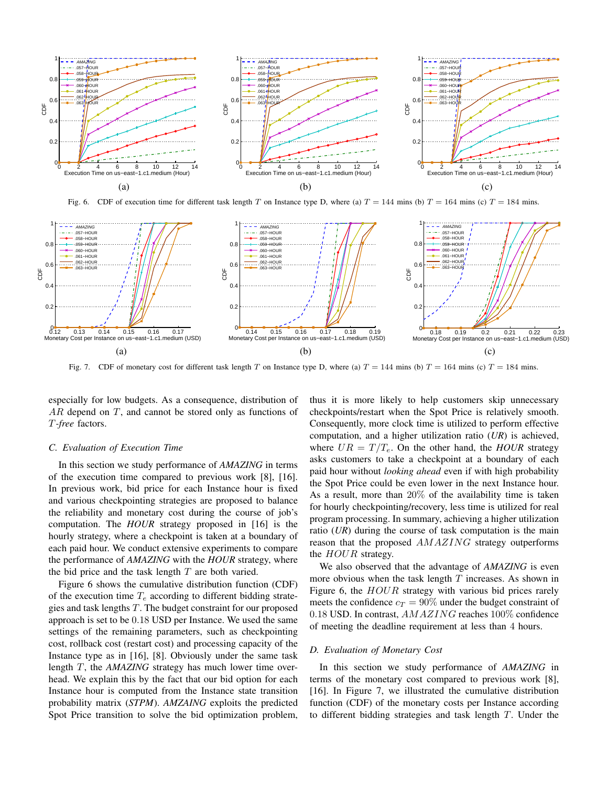

Fig. 6. CDF of execution time for different task length T on Instance type D, where (a)  $T = 144$  mins (b)  $T = 164$  mins (c)  $T = 184$  mins.



Fig. 7. CDF of monetary cost for different task length T on Instance type D, where (a)  $T = 144$  mins (b)  $T = 164$  mins (c)  $T = 184$  mins.

especially for low budgets. As a consequence, distribution of AR depend on T, and cannot be stored only as functions of T*-free* factors.

# *C. Evaluation of Execution Time*

In this section we study performance of *AMAZING* in terms of the execution time compared to previous work [8], [16]. In previous work, bid price for each Instance hour is fixed and various checkpointing strategies are proposed to balance the reliability and monetary cost during the course of job's computation. The *HOUR* strategy proposed in [16] is the hourly strategy, where a checkpoint is taken at a boundary of each paid hour. We conduct extensive experiments to compare the performance of *AMAZING* with the *HOUR* strategy, where the bid price and the task length  $T$  are both varied.

Figure 6 shows the cumulative distribution function (CDF) of the execution time  $T_e$  according to different bidding strategies and task lengths T. The budget constraint for our proposed approach is set to be 0.18 USD per Instance. We used the same settings of the remaining parameters, such as checkpointing cost, rollback cost (restart cost) and processing capacity of the Instance type as in [16], [8]. Obviously under the same task length T, the *AMAZING* strategy has much lower time overhead. We explain this by the fact that our bid option for each Instance hour is computed from the Instance state transition probability matrix (*STPM*). *AMZAING* exploits the predicted Spot Price transition to solve the bid optimization problem, thus it is more likely to help customers skip unnecessary checkpoints/restart when the Spot Price is relatively smooth. Consequently, more clock time is utilized to perform effective computation, and a higher utilization ratio (*UR*) is achieved, where  $UR = T/T_e$ . On the other hand, the *HOUR* strategy asks customers to take a checkpoint at a boundary of each paid hour without *looking ahead* even if with high probability the Spot Price could be even lower in the next Instance hour. As a result, more than  $20\%$  of the availability time is taken for hourly checkpointing/recovery, less time is utilized for real program processing. In summary, achieving a higher utilization ratio (*UR*) during the course of task computation is the main reason that the proposed AMAZING strategy outperforms the *HOUR* strategy.

We also observed that the advantage of *AMAZING* is even more obvious when the task length  $T$  increases. As shown in Figure 6, the *HOUR* strategy with various bid prices rarely meets the confidence  $c_T = 90\%$  under the budget constraint of  $0.18$  USD. In contrast,  $AMAZING$  reaches  $100\%$  confidence of meeting the deadline requirement at less than 4 hours.

# *D. Evaluation of Monetary Cost*

In this section we study performance of *AMAZING* in terms of the monetary cost compared to previous work [8], [16]. In Figure 7, we illustrated the cumulative distribution function (CDF) of the monetary costs per Instance according to different bidding strategies and task length T. Under the